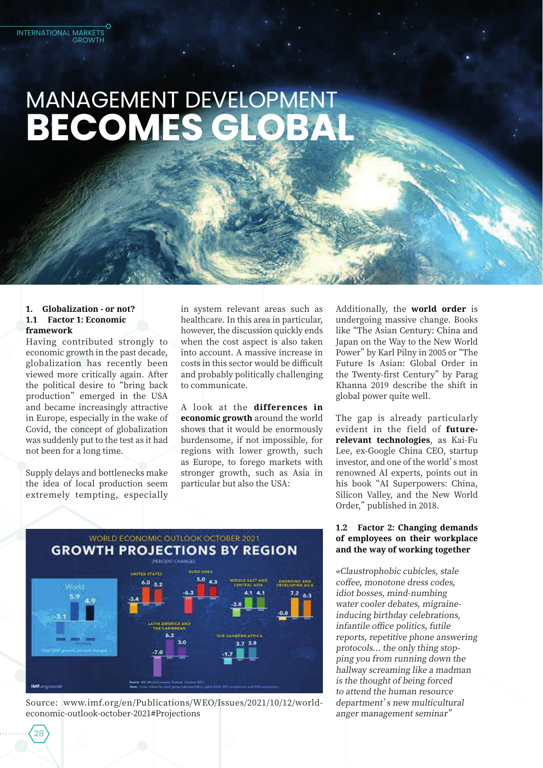# MANAGEMENT DEVELOPMENT BECOMES GLOBA

## 1. Globalization - or not? 1.1 Factor 1: Economic framework

**INTERNATIONAL MARKETS** 

**GROWTH** 

Having contributed strongly to economic growth in the past decade, globalization has recently been viewed more critically again. After the political desire to "bring back production" emerged in the USA and became increasingly attractive in Europe, especially in the wake of Covid, the concept of globalization was suddenly put to the test as it had not been for a long time.

Supply delays and bottlenecks make the idea of local production seem extremely tempting, especially

 $28$ 

in system relevant areas such as healthcare. In this area in particular, however, the discussion quickly ends when the cost aspect is also taken into account. A massive increase in costs in this sector would be difficult and probably politically challenging to communicate.

A look at the differences in economic growth around the world shows that it would be enormously burdensome, if not impossible, for regions with lower growth, such as Europe, to forego markets with stronger growth, such as Asia in particular but also the USA:

Additionally, the world order is undergoing massive change. Books like "The Asian Century: China and Japan on the Way to the New World Power" by Karl Pilny in 2005 or "The Future Is Asian: Global Order in the Twenty-first Century" by Parag Khanna 2019 describe the shift in global power quite well.

The gap is already particularly evident in the field of futurerelevant technologies, as Kai-Fu Lee, ex-Google China CEO, startup investor, and one of the world's most renowned AI experts, points out in his book "AI Superpowers: China, Silicon Valley, and the New World Order," published in 2018.

## 1.2 Factor 2: Changing demands of employees on their workplace and the way of working together

«Claustrophobic cubicles, stale coffee, monotone dress codes, idiot bosses, mind-numbing water cooler debates, migraineinducing birthday celebrations, infantile office politics, futile reports, repetitive phone answering protocols... the only thing stopping you from running down the hallway screaming like a madman is the thought of being forced to attend the human resource department's new multicultural anger management seminar"



Source: www.imf.org/en/Publications/WEO/Issues/2021/10/12/worldeconomic-outlook-october-2021#Projections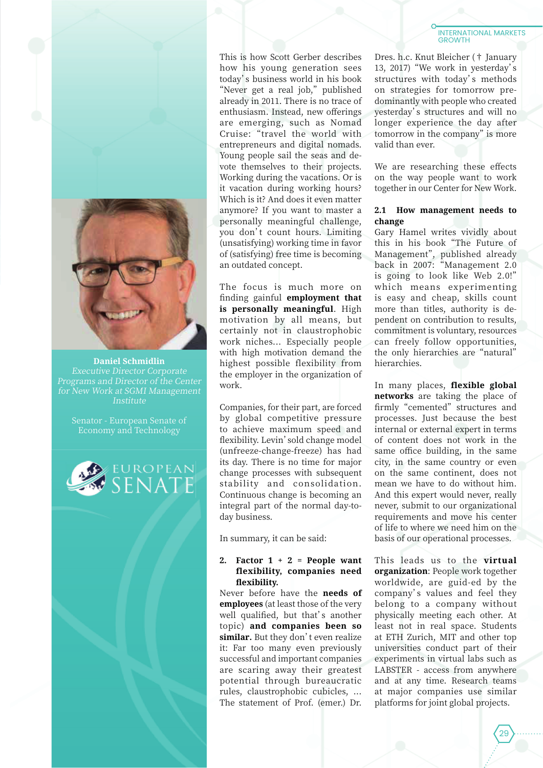

**Daniel Schmidlin Executive Director Corporate** Programs and Director of the Center for New Work at SGMI Management Institute

Senator - European Senate of Economy and Technology



This is how Scott Gerber describes how his young generation sees today's business world in his book "Never get a real job," published already in 2011. There is no trace of enthusiasm. Instead, new offerings are emerging, such as Nomad Cruise: "travel the world with entrepreneurs and digital nomads. Young people sail the seas and devote themselves to their projects. Working during the vacations. Or is it vacation during working hours? Which is it? And does it even matter anymore? If you want to master a personally meaningful challenge, you don't count hours. Limiting (unsatisfying) working time in favor of (satisfying) free time is becoming an outdated concept.

The focus is much more on finding gainful employment that is personally meaningful. High motivation by all means, but certainly not in claustrophobic work niches... Especially people with high motivation demand the highest possible flexibility from the employer in the organization of work.

Companies, for their part, are forced by global competitive pressure to achieve maximum speed and flexibility. Levin' sold change model (unfreeze-change-freeze) has had its day. There is no time for major change processes with subsequent stability and consolidation. Continuous change is becoming an integral part of the normal day-today business.

In summary, it can be said:

## 2. Factor  $1 + 2 =$  People want flexibility, companies need flexibility.

Never before have the needs of employees (at least those of the very well qualified, but that's another topic) and companies been so similar. But they don't even realize it: Far too many even previously successful and important companies are scaring away their greatest potential through bureaucratic rules, claustrophobic cubicles, ... The statement of Prof. (emer.) Dr.

#### **INTERNATIONAL MARKETS GROWTH**

Dres. h.c. Knut Bleicher († January 13, 2017) "We work in yesterday's structures with today's methods on strategies for tomorrow predominantly with people who created yesterday's structures and will no longer experience the day after tomorrow in the company" is more valid than ever.

We are researching these effects on the way people want to work together in our Center for New Work.

## 2.1 How management needs to change

Gary Hamel writes vividly about this in his book "The Future of Management", published already back in 2007: "Management 2.0 is going to look like Web 2.0!" which means experimenting is easy and cheap, skills count more than titles, authority is dependent on contribution to results. commitment is voluntary, resources can freely follow opportunities, the only hierarchies are "natural" hierarchies.

In many places, flexible global networks are taking the place of firmly "cemented" structures and processes. Just because the best internal or external expert in terms of content does not work in the same office building, in the same city, in the same country or even on the same continent, does not mean we have to do without him. And this expert would never, really never, submit to our organizational requirements and move his center of life to where we need him on the basis of our operational processes.

This leads us to the virtual organization: People work together worldwide, are guid-ed by the company's values and feel they belong to a company without physically meeting each other. At least not in real space. Students at ETH Zurich, MIT and other top universities conduct part of their experiments in virtual labs such as LABSTER - access from anywhere and at any time. Research teams at major companies use similar platforms for joint global projects.

 $29$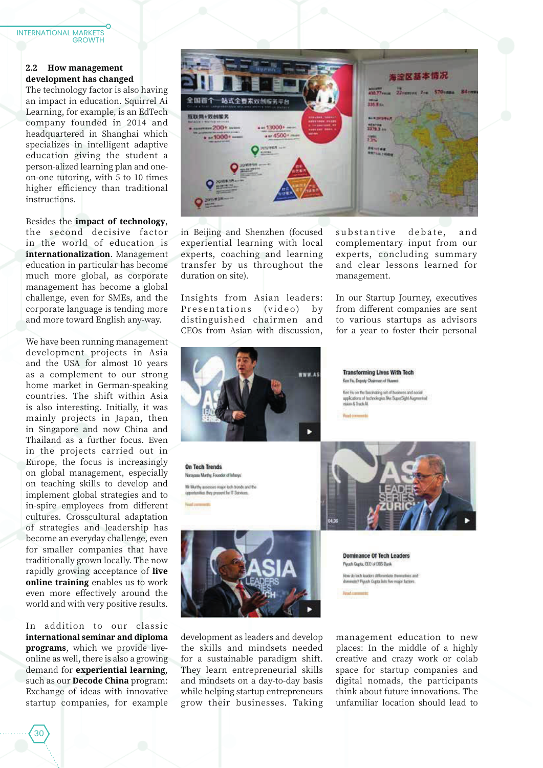### **INTERNATIONAL MARKETS GROWTH**

## 2.2 How management development has changed

The technology factor is also having an impact in education. Squirrel Ai Learning, for example, is an EdTech company founded in 2014 and headquartered in Shanghai which specializes in intelligent adaptive education giving the student a person-alized learning plan and oneon-one tutoring, with 5 to 10 times higher efficiency than traditional instructions.

Besides the impact of technology, the second decisive factor in the world of education is internationalization. Management education in particular has become much more global, as corporate management has become a global challenge, even for SMEs, and the corporate language is tending more and more toward English any-way.

We have been running management development projects in Asia and the USA for almost 10 years as a complement to our strong home market in German-speaking countries. The shift within Asia is also interesting. Initially, it was mainly projects in Japan, then in Singapore and now China and Thailand as a further focus. Even in the projects carried out in Europe, the focus is increasingly on global management, especially on teaching skills to develop and implement global strategies and to in-spire employees from different cultures. Crosscultural adaptation of strategies and leadership has become an everyday challenge, even for smaller companies that have traditionally grown locally. The now rapidly growing acceptance of live online training enables us to work even more effectively around the world and with very positive results.

In addition to our classic international seminar and diploma programs, which we provide liveonline as well, there is also a growing demand for experiential learning, such as our **Decode China** program: Exchange of ideas with innovative startup companies, for example



in Beijing and Shenzhen (focused experiential learning with local experts, coaching and learning transfer by us throughout the duration on site).

Insights from Asian leaders: Presentations  $(video)$  $b$  v distinguished chairmen and CEOs from Asian with discussion.

WWW.A г

On Tech Trends Natajana Murthy Founder of Interys Mr Murthy assesses major tech tronds and the opportunities they present for IT Services



development as leaders and develop the skills and mindsets needed for a sustainable paradigm shift. They learn entrepreneurial skills and mindsets on a day-to-day basis while helping startup entrepreneurs grow their businesses. Taking substantive debate, and complementary input from our experts, concluding summary and clear lessons learned for management.

In our Startup Journey, executives from different companies are sent to various startups as advisors for a year to foster their personal

Ken Hu, Doputy Chairman of Huanni Ken Hu on the fascinating set of business and social applications of technologies like SuperSight Augmented<br>wases & Track Al. **Hold com** 

**Transforming Lives With Tech** 



**Dominance Of Tech Leaders** Plyuth Qupta, CEO of DBS Bank How du tech leaders differentiate themselves at<br>dominate? Piyash Gapta lists five major factors.

management education to new places: In the middle of a highly creative and crazy work or colab space for startup companies and digital nomads, the participants think about future innovations. The unfamiliar location should lead to